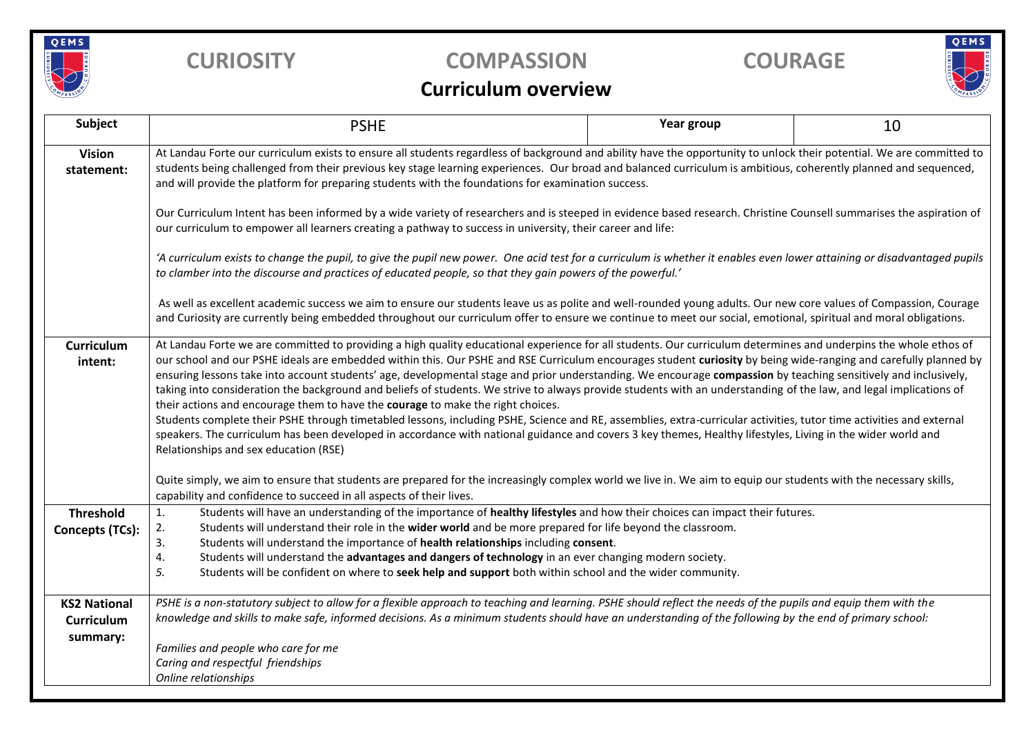

## **CURIOSITY COMPASSION COURAGE**

# QEMS

### **Curriculum overview**

| Subject                       | <b>PSHE</b>                                                                                                                                                                                                                                                                                                                                                                                                                                                                                                                                                                                                                                                                                                                                                                                                                                                                                                                                                                                                                                                                                                                                      | Year group | 10 |  |  |  |  |  |  |
|-------------------------------|--------------------------------------------------------------------------------------------------------------------------------------------------------------------------------------------------------------------------------------------------------------------------------------------------------------------------------------------------------------------------------------------------------------------------------------------------------------------------------------------------------------------------------------------------------------------------------------------------------------------------------------------------------------------------------------------------------------------------------------------------------------------------------------------------------------------------------------------------------------------------------------------------------------------------------------------------------------------------------------------------------------------------------------------------------------------------------------------------------------------------------------------------|------------|----|--|--|--|--|--|--|
| <b>Vision</b><br>statement:   | At Landau Forte our curriculum exists to ensure all students regardless of background and ability have the opportunity to unlock their potential. We are committed to<br>students being challenged from their previous key stage learning experiences. Our broad and balanced curriculum is ambitious, coherently planned and sequenced,<br>and will provide the platform for preparing students with the foundations for examination success.                                                                                                                                                                                                                                                                                                                                                                                                                                                                                                                                                                                                                                                                                                   |            |    |  |  |  |  |  |  |
|                               | Our Curriculum Intent has been informed by a wide variety of researchers and is steeped in evidence based research. Christine Counsell summarises the aspiration of<br>our curriculum to empower all learners creating a pathway to success in university, their career and life:                                                                                                                                                                                                                                                                                                                                                                                                                                                                                                                                                                                                                                                                                                                                                                                                                                                                |            |    |  |  |  |  |  |  |
|                               | 'A curriculum exists to change the pupil, to give the pupil new power. One acid test for a curriculum is whether it enables even lower attaining or disadvantaged pupils<br>to clamber into the discourse and practices of educated people, so that they gain powers of the powerful.'                                                                                                                                                                                                                                                                                                                                                                                                                                                                                                                                                                                                                                                                                                                                                                                                                                                           |            |    |  |  |  |  |  |  |
|                               | As well as excellent academic success we aim to ensure our students leave us as polite and well-rounded young adults. Our new core values of Compassion, Courage<br>and Curiosity are currently being embedded throughout our curriculum offer to ensure we continue to meet our social, emotional, spiritual and moral obligations.                                                                                                                                                                                                                                                                                                                                                                                                                                                                                                                                                                                                                                                                                                                                                                                                             |            |    |  |  |  |  |  |  |
| <b>Curriculum</b><br>intent:  | At Landau Forte we are committed to providing a high quality educational experience for all students. Our curriculum determines and underpins the whole ethos of<br>our school and our PSHE ideals are embedded within this. Our PSHE and RSE Curriculum encourages student curiosity by being wide-ranging and carefully planned by<br>ensuring lessons take into account students' age, developmental stage and prior understanding. We encourage compassion by teaching sensitively and inclusively,<br>taking into consideration the background and beliefs of students. We strive to always provide students with an understanding of the law, and legal implications of<br>their actions and encourage them to have the courage to make the right choices.<br>Students complete their PSHE through timetabled lessons, including PSHE, Science and RE, assemblies, extra-curricular activities, tutor time activities and external<br>speakers. The curriculum has been developed in accordance with national guidance and covers 3 key themes, Healthy lifestyles, Living in the wider world and<br>Relationships and sex education (RSE) |            |    |  |  |  |  |  |  |
|                               | Quite simply, we aim to ensure that students are prepared for the increasingly complex world we live in. We aim to equip our students with the necessary skills,<br>capability and confidence to succeed in all aspects of their lives.                                                                                                                                                                                                                                                                                                                                                                                                                                                                                                                                                                                                                                                                                                                                                                                                                                                                                                          |            |    |  |  |  |  |  |  |
| <b>Threshold</b>              | Students will have an understanding of the importance of healthy lifestyles and how their choices can impact their futures.<br>1.                                                                                                                                                                                                                                                                                                                                                                                                                                                                                                                                                                                                                                                                                                                                                                                                                                                                                                                                                                                                                |            |    |  |  |  |  |  |  |
| <b>Concepts (TCs):</b>        | Students will understand their role in the wider world and be more prepared for life beyond the classroom.<br>2.<br>Students will understand the importance of health relationships including consent.<br>3.                                                                                                                                                                                                                                                                                                                                                                                                                                                                                                                                                                                                                                                                                                                                                                                                                                                                                                                                     |            |    |  |  |  |  |  |  |
|                               | Students will understand the advantages and dangers of technology in an ever changing modern society.<br>4.<br>5.<br>Students will be confident on where to seek help and support both within school and the wider community.                                                                                                                                                                                                                                                                                                                                                                                                                                                                                                                                                                                                                                                                                                                                                                                                                                                                                                                    |            |    |  |  |  |  |  |  |
| <b>KS2 National</b>           | PSHE is a non-statutory subject to allow for a flexible approach to teaching and learning. PSHE should reflect the needs of the pupils and equip them with the                                                                                                                                                                                                                                                                                                                                                                                                                                                                                                                                                                                                                                                                                                                                                                                                                                                                                                                                                                                   |            |    |  |  |  |  |  |  |
| <b>Curriculum</b><br>summary: | knowledge and skills to make safe, informed decisions. As a minimum students should have an understanding of the following by the end of primary school:                                                                                                                                                                                                                                                                                                                                                                                                                                                                                                                                                                                                                                                                                                                                                                                                                                                                                                                                                                                         |            |    |  |  |  |  |  |  |
|                               | Families and people who care for me<br>Caring and respectful friendships                                                                                                                                                                                                                                                                                                                                                                                                                                                                                                                                                                                                                                                                                                                                                                                                                                                                                                                                                                                                                                                                         |            |    |  |  |  |  |  |  |
|                               | Online relationships                                                                                                                                                                                                                                                                                                                                                                                                                                                                                                                                                                                                                                                                                                                                                                                                                                                                                                                                                                                                                                                                                                                             |            |    |  |  |  |  |  |  |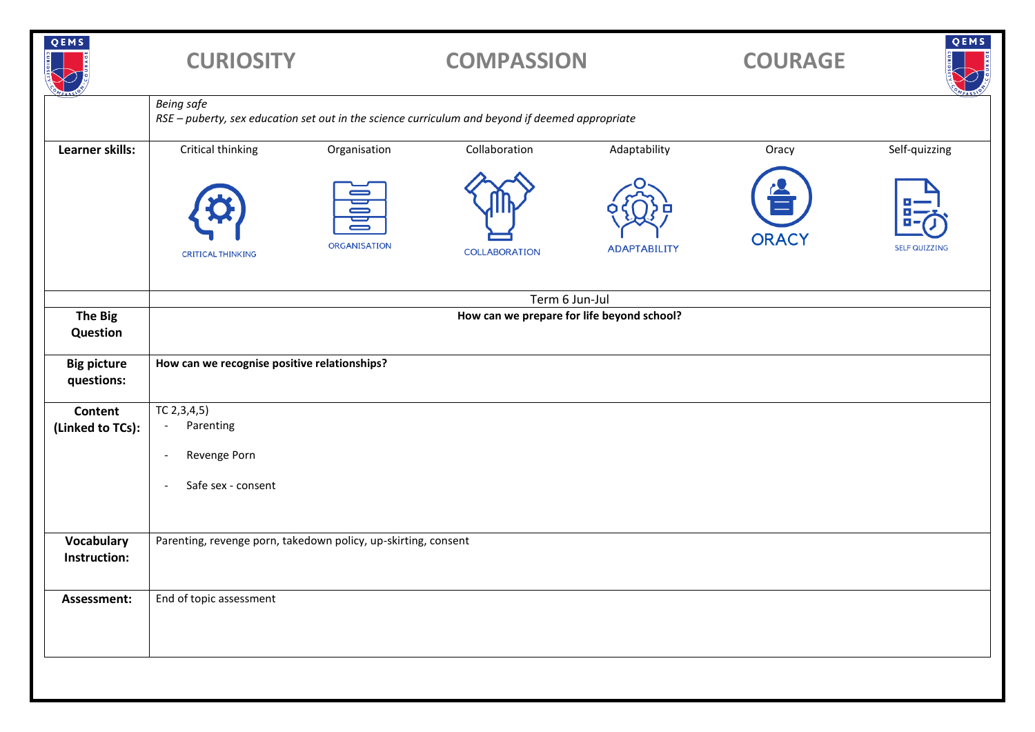| QEMS                             | <b>CURIOSITY</b>                                                                                                     |                   | <b>COMPASSION</b>    |                     | <b>COURAGE</b> | QEMS                 |  |
|----------------------------------|----------------------------------------------------------------------------------------------------------------------|-------------------|----------------------|---------------------|----------------|----------------------|--|
|                                  | <b>Being safe</b><br>RSE - puberty, sex education set out in the science curriculum and beyond if deemed appropriate |                   |                      |                     |                |                      |  |
| <b>Learner skills:</b>           | Critical thinking                                                                                                    | Organisation      | Collaboration        | Adaptability        | Oracy          | Self-quizzing        |  |
|                                  | <b>CRITICAL THINKING</b>                                                                                             | 冒<br>ORGANISATION | <b>COLLABORATION</b> | <b>ADAPTABILITY</b> | <b>ORACY</b>   | <b>SELF QUIZZING</b> |  |
|                                  | Term 6 Jun-Jul                                                                                                       |                   |                      |                     |                |                      |  |
| <b>The Big</b><br>Question       | How can we prepare for life beyond school?                                                                           |                   |                      |                     |                |                      |  |
| <b>Big picture</b><br>questions: | How can we recognise positive relationships?                                                                         |                   |                      |                     |                |                      |  |
| Content                          | TC 2,3,4,5)<br>Parenting<br>$\overline{\phantom{a}}$                                                                 |                   |                      |                     |                |                      |  |
| (Linked to TCs):                 |                                                                                                                      |                   |                      |                     |                |                      |  |
|                                  | Revenge Porn<br>$\overline{\phantom{a}}$                                                                             |                   |                      |                     |                |                      |  |
|                                  | Safe sex - consent<br>$\overline{\phantom{a}}$                                                                       |                   |                      |                     |                |                      |  |
| Vocabulary<br>Instruction:       | Parenting, revenge porn, takedown policy, up-skirting, consent                                                       |                   |                      |                     |                |                      |  |
| Assessment:                      | End of topic assessment                                                                                              |                   |                      |                     |                |                      |  |
|                                  |                                                                                                                      |                   |                      |                     |                |                      |  |
|                                  |                                                                                                                      |                   |                      |                     |                |                      |  |